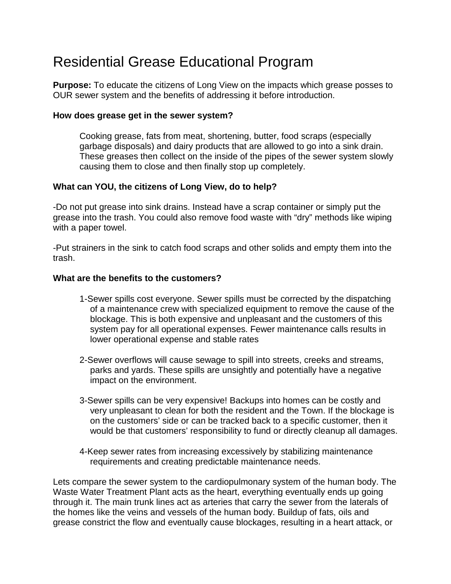## Residential Grease Educational Program

**Purpose:** To educate the citizens of Long View on the impacts which grease posses to OUR sewer system and the benefits of addressing it before introduction.

## **How does grease get in the sewer system?**

Cooking grease, fats from meat, shortening, butter, food scraps (especially garbage disposals) and dairy products that are allowed to go into a sink drain. These greases then collect on the inside of the pipes of the sewer system slowly causing them to close and then finally stop up completely.

## **What can YOU, the citizens of Long View, do to help?**

-Do not put grease into sink drains. Instead have a scrap container or simply put the grease into the trash. You could also remove food waste with "dry" methods like wiping with a paper towel.

-Put strainers in the sink to catch food scraps and other solids and empty them into the trash.

## **What are the benefits to the customers?**

- 1-Sewer spills cost everyone. Sewer spills must be corrected by the dispatching of a maintenance crew with specialized equipment to remove the cause of the blockage. This is both expensive and unpleasant and the customers of this system pay for all operational expenses. Fewer maintenance calls results in lower operational expense and stable rates
- 2-Sewer overflows will cause sewage to spill into streets, creeks and streams, parks and yards. These spills are unsightly and potentially have a negative impact on the environment.
- 3-Sewer spills can be very expensive! Backups into homes can be costly and very unpleasant to clean for both the resident and the Town. If the blockage is on the customers' side or can be tracked back to a specific customer, then it would be that customers' responsibility to fund or directly cleanup all damages.
- 4-Keep sewer rates from increasing excessively by stabilizing maintenance requirements and creating predictable maintenance needs.

Lets compare the sewer system to the cardiopulmonary system of the human body. The Waste Water Treatment Plant acts as the heart, everything eventually ends up going through it. The main trunk lines act as arteries that carry the sewer from the laterals of the homes like the veins and vessels of the human body. Buildup of fats, oils and grease constrict the flow and eventually cause blockages, resulting in a heart attack, or